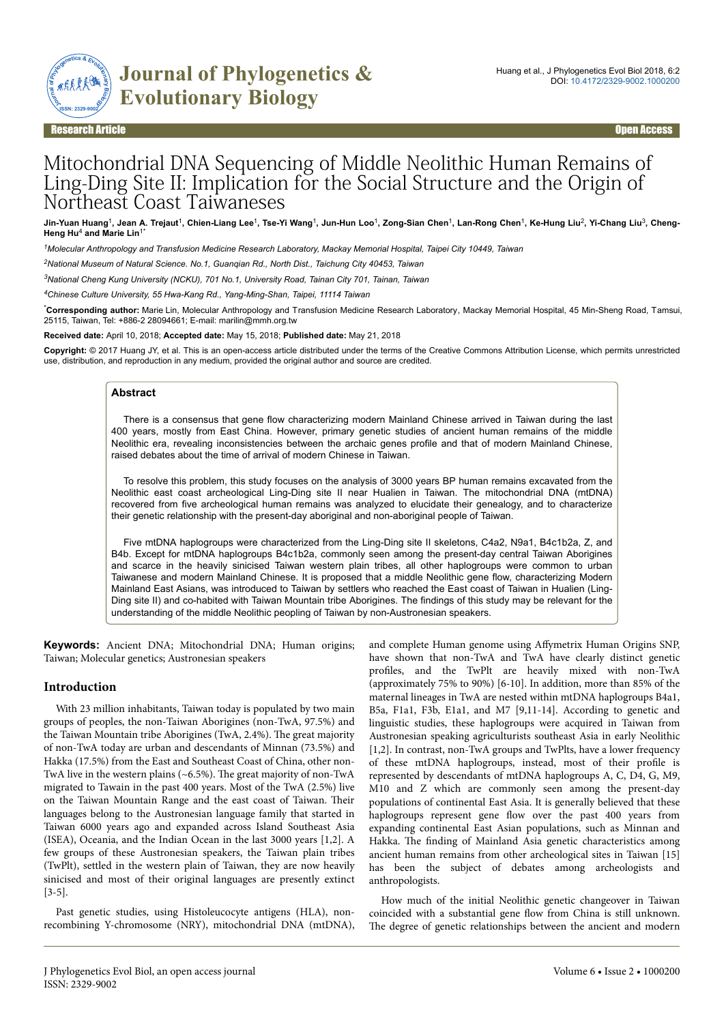

Research Article Open Access

# Mitochondrial DNA Sequencing of Middle Neolithic Human Remains of Ling-Ding Site II: Implication for the Social Structure and the Origin of Northeast Coast Taiwaneses

Jin-Yuan Huang<sup>1</sup>, Jean A. Trejaut<sup>1</sup>, Chien-Liang Lee<sup>1</sup>, Tse-Yi Wang<sup>1</sup>, Jun-Hun Loo<sup>1</sup>, Zong-Sian Chen<sup>1</sup>, Lan-Rong Chen<sup>1</sup>, Ke-Hung Liu<sup>2</sup>, Yi-Chang Liu<sup>3</sup>, Cheng-**Heng Hu**<sup>4</sup>  **and Marie Lin**1\*

*<sup>1</sup>Molecular Anthropology and Transfusion Medicine Research Laboratory, Mackay Memorial Hospital, Taipei City 10449, Taiwan*

*<sup>2</sup>National Museum of Natural Science. No.1, Guanqian Rd., North Dist., Taichung City 40453, Taiwan*

*<sup>3</sup>National Cheng Kung University (NCKU), 701 No.1, University Road, Tainan City 701, Tainan, Taiwan*

*<sup>4</sup>Chinese Culture University, 55 Hwa-Kang Rd., Yang-Ming-Shan, Taipei, 11114 Taiwan*

\***Corresponding author:** Marie Lin, Molecular Anthropology and Transfusion Medicine Research Laboratory, Mackay Memorial Hospital, 45 Min-Sheng Road, Tamsui, 25115, Taiwan, Tel: +886-2 28094661; E-mail: marilin@mmh.org.tw

**Received date:** April 10, 2018; **Accepted date:** May 15, 2018; **Published date:** May 21, 2018

**Copyright:** © 2017 Huang JY, et al. This is an open-access article distributed under the terms of the Creative Commons Attribution License, which permits unrestricted use, distribution, and reproduction in any medium, provided the original author and source are credited.

#### **Abstract**

There is a consensus that gene flow characterizing modern Mainland Chinese arrived in Taiwan during the last 400 years, mostly from East China. However, primary genetic studies of ancient human remains of the middle Neolithic era, revealing inconsistencies between the archaic genes profile and that of modern Mainland Chinese, raised debates about the time of arrival of modern Chinese in Taiwan.

To resolve this problem, this study focuses on the analysis of 3000 years BP human remains excavated from the Neolithic east coast archeological Ling-Ding site II near Hualien in Taiwan. The mitochondrial DNA (mtDNA) recovered from five archeological human remains was analyzed to elucidate their genealogy, and to characterize their genetic relationship with the present-day aboriginal and non-aboriginal people of Taiwan.

Five mtDNA haplogroups were characterized from the Ling-Ding site II skeletons, C4a2, N9a1, B4c1b2a, Z, and B4b. Except for mtDNA haplogroups B4c1b2a, commonly seen among the present-day central Taiwan Aborigines and scarce in the heavily sinicised Taiwan western plain tribes, all other haplogroups were common to urban Taiwanese and modern Mainland Chinese. It is proposed that a middle Neolithic gene flow, characterizing Modern Mainland East Asians, was introduced to Taiwan by settlers who reached the East coast of Taiwan in Hualien (Ling-Ding site II) and co-habited with Taiwan Mountain tribe Aborigines. The findings of this study may be relevant for the understanding of the middle Neolithic peopling of Taiwan by non-Austronesian speakers.

**Keywords:** Ancient DNA; Mitochondrial DNA; Human origins; Taiwan; Molecular genetics; Austronesian speakers

#### **Introduction**

With 23 million inhabitants, Taiwan today is populated by two main groups of peoples, the non-Taiwan Aborigines (non-TwA, 97.5%) and the Taiwan Mountain tribe Aborigines (TwA, 2.4%). Нe great majority of non-TwA today are urban and descendants of Minnan (73.5%) and Hakka (17.5%) from the East and Southeast Coast of China, other non-TwA live in the western plains (~6.5%). Нe great majority of non-TwA migrated to Tawain in the past 400 years. Most of the TwA (2.5%) live on the Taiwan Mountain Range and the east coast of Taiwan. Their languages belong to the Austronesian language family that started in Taiwan 6000 years ago and expanded across Island Southeast Asia (ISEA), Oceania, and the Indian Ocean in the last 3000 years [1,2]. A few groups of these Austronesian speakers, the Taiwan plain tribes (TwPlt), settled in the western plain of Taiwan, they are now heavily sinicised and most of their original languages are presently extinct [3-5].

Past genetic studies, using Histoleucocyte antigens (HLA), nonrecombining Y-chromosome (NRY), mitochondrial DNA (mtDNA), and complete Human genome using Affymetrix Human Origins SNP, have shown that non-TwA and TwA have clearly distinct genetic profiles, and the TwPlt are heavily mixed with non-TwA (approximately 75% to 90%) [6-10]. In addition, more than 85% of the maternal lineages in TwA are nested within mtDNA haplogroups B4a1, B5a, F1a1, F3b, E1a1, and M7 [9,11-14]. According to genetic and linguistic studies, these haplogroups were acquired in Taiwan from Austronesian speaking agriculturists southeast Asia in early Neolithic [1,2]. In contrast, non-TwA groups and TwPlts, have a lower frequency of these mtDNA haplogroups, instead, most of their profile is represented by descendants of mtDNA haplogroups A, C, D4, G, M9, M10 and Z which are commonly seen among the present-day populations of continental East Asia. It is generally believed that these haplogroups represent gene flow over the past 400 years from expanding continental East Asian populations, such as Minnan and Hakka. The finding of Mainland Asia genetic characteristics among ancient human remains from other archeological sites in Taiwan [15] has been the subject of debates among archeologists and anthropologists.

How much of the initial Neolithic genetic changeover in Taiwan coincided with a substantial gene flow from China is still unknown. The degree of genetic relationships between the ancient and modern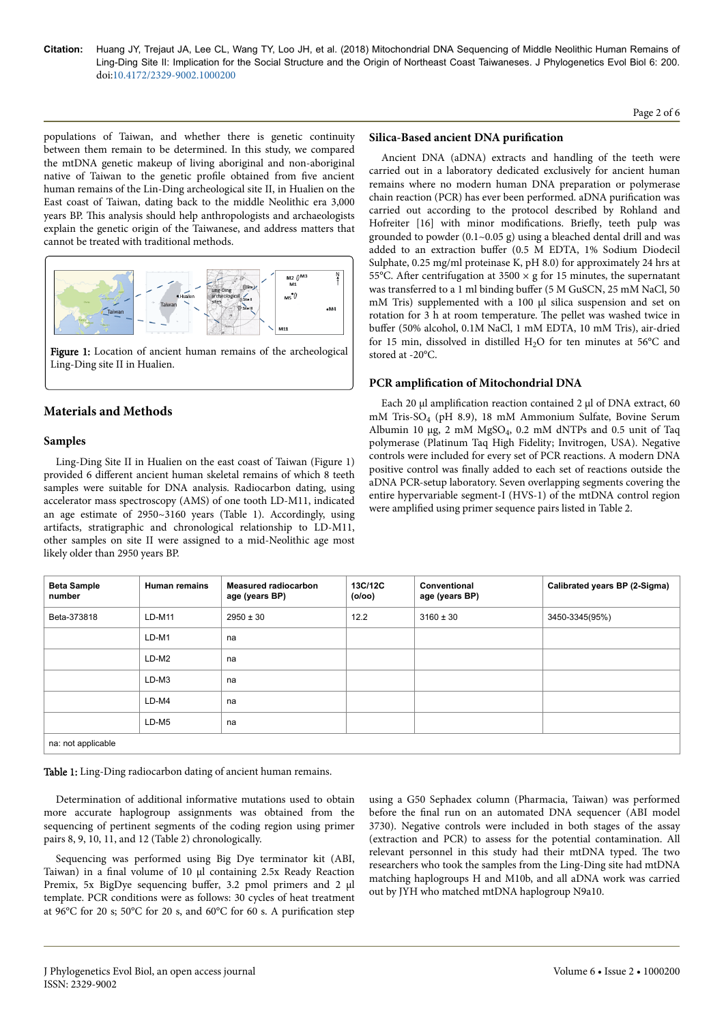Page 2 of 6

populations of Taiwan, and whether there is genetic continuity between them remain to be determined. In this study, we compared the mtDNA genetic makeup of living aboriginal and non-aboriginal native of Taiwan to the genetic profile obtained from five ancient human remains of the Lin-Ding archeological site II, in Hualien on the East coast of Taiwan, dating back to the middle Neolithic era 3,000 years BP. This analysis should help anthropologists and archaeologists explain the genetic origin of the Taiwanese, and address matters that cannot be treated with traditional methods.



Figure 1: Location of ancient human remains of the archeological Ling-Ding site II in Hualien.

## **Materials and Methods**

## **Samples**

Ling-Ding Site II in Hualien on the east coast of Taiwan (Figure 1) provided 6 different ancient human skeletal remains of which 8 teeth samples were suitable for DNA analysis. Radiocarbon dating, using accelerator mass spectroscopy (AMS) of one tooth LD-M11, indicated an age estimate of 2950~3160 years (Table 1). Accordingly, using artifacts, stratigraphic and chronological relationship to LD-M11, other samples on site II were assigned to a mid-Neolithic age most likely older than 2950 years BP.

#### **Silica-Based ancient DNA purification**

Ancient DNA (aDNA) extracts and handling of the teeth were carried out in a laboratory dedicated exclusively for ancient human remains where no modern human DNA preparation or polymerase chain reaction (PCR) has ever been performed. aDNA purification was carried out according to the protocol described by Rohland and Hofreiter [16] with minor modifications. Briefly, teeth pulp was grounded to powder (0.1~0.05 g) using a bleached dental drill and was added to an extraction buffer (0.5 M EDTA, 1% Sodium Diodecil Sulphate, 0.25 mg/ml proteinase K, pH 8.0) for approximately 24 hrs at 55°C. After centrifugation at  $3500 \times g$  for 15 minutes, the supernatant was transferred to a 1 ml binding buffer (5 M GuSCN, 25 mM NaCl, 50 mM Tris) supplemented with a 100 µl silica suspension and set on rotation for 3 h at room temperature. Нe pellet was washed twice in buffer (50% alcohol, 0.1M NaCl, 1 mM EDTA, 10 mM Tris), air-dried for 15 min, dissolved in distilled  $H_2O$  for ten minutes at 56°C and stored at -20°C.

## **PCR** amplification of Mitochondrial DNA

Each 20 μl amplification reaction contained 2 μl of DNA extract, 60 mM Tris-SO<sup>4</sup> (pH 8.9), 18 mM Ammonium Sulfate, Bovine Serum Albumin 10 μg, 2 mM  $MgSO_4$ , 0.2 mM dNTPs and 0.5 unit of Taq polymerase (Platinum Taq High Fidelity; Invitrogen, USA). Negative controls were included for every set of PCR reactions. A modern DNA positive control was finally added to each set of reactions outside the aDNA PCR-setup laboratory. Seven overlapping segments covering the entire hypervariable segment-I (HVS-1) of the mtDNA control region were amplified using primer sequence pairs listed in Table 2.

| <b>Beta Sample</b><br>number | <b>Human remains</b> | <b>Measured radiocarbon</b><br>age (years BP) | 13C/12C<br>(0/00) | Conventional<br>age (years BP) | Calibrated years BP (2-Sigma) |  |  |  |  |
|------------------------------|----------------------|-----------------------------------------------|-------------------|--------------------------------|-------------------------------|--|--|--|--|
| Beta-373818                  | $LD-M11$             | $2950 \pm 30$                                 | 12.2              | $3160 \pm 30$                  | 3450-3345(95%)                |  |  |  |  |
|                              | $LD-M1$              | na                                            |                   |                                |                               |  |  |  |  |
|                              | LD-M2                | na                                            |                   |                                |                               |  |  |  |  |
|                              | $LD-M3$              | na                                            |                   |                                |                               |  |  |  |  |
|                              | $LD-M4$              | na                                            |                   |                                |                               |  |  |  |  |
|                              | $LD-M5$              | na                                            |                   |                                |                               |  |  |  |  |
| na: not applicable           |                      |                                               |                   |                                |                               |  |  |  |  |

Table 1: Ling-Ding radiocarbon dating of ancient human remains.

Determination of additional informative mutations used to obtain more accurate haplogroup assignments was obtained from the sequencing of pertinent segments of the coding region using primer pairs 8, 9, 10, 11, and 12 (Table 2) chronologically.

Sequencing was performed using Big Dye terminator kit (ABI, Taiwan) in a final volume of 10 μl containing 2.5x Ready Reaction Premix, 5x BigDye sequencing buffer, 3.2 pmol primers and 2 μl template. PCR conditions were as follows: 30 cycles of heat treatment at 96°C for 20 s; 50°C for 20 s, and 60°C for 60 s. A purification step

using a G50 Sephadex column (Pharmacia, Taiwan) was performed before the final run on an automated DNA sequencer (ABI model 3730). Negative controls were included in both stages of the assay (extraction and PCR) to assess for the potential contamination. All relevant personnel in this study had their mtDNA typed. Нe two researchers who took the samples from the Ling-Ding site had mtDNA matching haplogroups H and M10b, and all aDNA work was carried out by JYH who matched mtDNA haplogroup N9a10.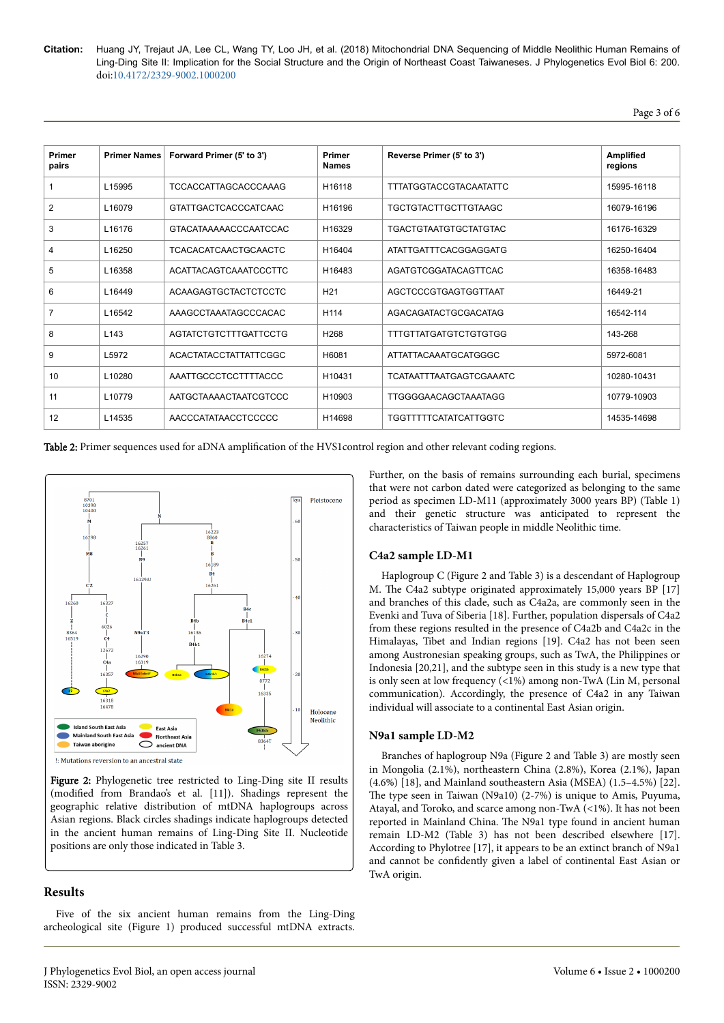Page 3 of 6

| <b>Primer</b><br>pairs | <b>Primer Names</b> | Forward Primer (5' to 3')    | <b>Primer</b><br><b>Names</b> | Reverse Primer (5' to 3')      | Amplified<br>regions |
|------------------------|---------------------|------------------------------|-------------------------------|--------------------------------|----------------------|
| 1                      | L15995              | <b>TCCACCATTAGCACCCAAAG</b>  | H16118                        | <b>TTTATGGTACCGTACAATATTC</b>  | 15995-16118          |
| $\overline{2}$         | L16079              | <b>GTATTGACTCACCCATCAAC</b>  | H16196                        | <b>TGCTGTACTTGCTTGTAAGC</b>    | 16079-16196          |
| 3                      | L16176              | GTACATAAAAACCCAATCCAC        | H16329                        | <b>TGACTGTAATGTGCTATGTAC</b>   | 16176-16329          |
| 4                      | L16250              | <b>TCACACATCAACTGCAACTC</b>  | H16404                        | ATATTGATTTCACGGAGGATG          | 16250-16404          |
| 5                      | L16358              | ACATTACAGTCAAATCCCTTC        | H16483                        | AGATGTCGGATACAGTTCAC           | 16358-16483          |
| 6                      | L16449              | <b>ACAAGAGTGCTACTCTCCTC</b>  | H <sub>21</sub>               | AGCTCCCGTGAGTGGTTAAT           | 16449-21             |
| $\overline{7}$         | L16542              | AAAGCCTAAATAGCCCACAC         | H114                          | AGACAGATACTGCGACATAG           | 16542-114            |
| 8                      | L <sub>143</sub>    | <b>AGTATCTGTCTTTGATTCCTG</b> | H <sub>268</sub>              | <b>TTTGTTATGATGTCTGTGTGG</b>   | 143-268              |
| 9                      | L5972               | ACACTATACCTATTATTCGGC        | H6081                         | ATTATTACAAATGCATGGGC           | 5972-6081            |
| 10                     | L10280              | AAATTGCCCTCCTTTTACCC         | H10431                        | <b>TCATAATTTAATGAGTCGAAATC</b> | 10280-10431          |
| 11                     | L10779              | AATGCTAAAACTAATCGTCCC        | H10903                        | TTGGGGAACAGCTAAATAGG           | 10779-10903          |
| 12                     | L14535              | AACCCATATAACCTCCCCC          | H14698                        | <b>TGGTTTTTCATATCATTGGTC</b>   | 14535-14698          |

Table 2: Primer sequences used for aDNA amplification of the HVS1control region and other relevant coding regions.



Figure 2: Phylogenetic tree restricted to Ling-Ding site II results (modified from Brandao's et al. [11]). Shadings represent the geographic relative distribution of mtDNA haplogroups across Asian regions. Black circles shadings indicate haplogroups detected in the ancient human remains of Ling-Ding Site II. Nucleotide positions are only those indicated in Table 3.

## **Results**

Five of the six ancient human remains from the Ling-Ding archeological site (Figure 1) produced successful mtDNA extracts.

Further, on the basis of remains surrounding each burial, specimens that were not carbon dated were categorized as belonging to the same period as specimen LD-M11 (approximately 3000 years BP) (Table 1) and their genetic structure was anticipated to represent the characteristics of Taiwan people in middle Neolithic time.

#### **C4a2 sample LD-M1**

Haplogroup C (Figure 2 and Table 3) is a descendant of Haplogroup M. Нe C4a2 subtype originated approximately 15,000 years BP [17] and branches of this clade, such as C4a2a, are commonly seen in the Evenki and Tuva of Siberia [18]. Further, population dispersals of C4a2 from these regions resulted in the presence of C4a2b and C4a2c in the Himalayas, Tibet and Indian regions [19]. C4a2 has not been seen among Austronesian speaking groups, such as TwA, the Philippines or Indonesia [20,21], and the subtype seen in this study is a new type that is only seen at low frequency (<1%) among non-TwA (Lin M, personal communication). Accordingly, the presence of C4a2 in any Taiwan individual will associate to a continental East Asian origin.

#### **N9a1 sample LD-M2**

Branches of haplogroup N9a (Figure 2 and Table 3) are mostly seen in Mongolia (2.1%), northeastern China (2.8%), Korea (2.1%), Japan (4.6%) [18], and Mainland southeastern Asia (MSEA) (1.5–4.5%) [22]. The type seen in Taiwan (N9a10) (2-7%) is unique to Amis, Puyuma, Atayal, and Toroko, and scarce among non-TwA (<1%). It has not been reported in Mainland China. Нe N9a1 type found in ancient human remain LD-M2 (Table 3) has not been described elsewhere [17]. According to Phylotree [17], it appears to be an extinct branch of N9a1 and cannot be confidently given a label of continental East Asian or TwA origin.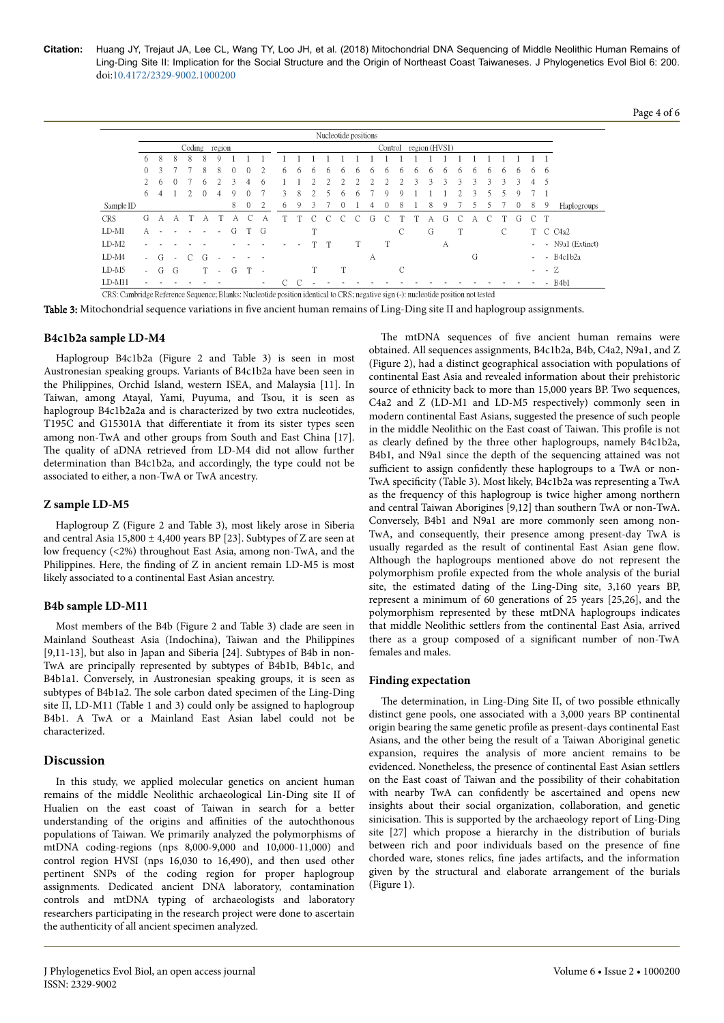Page 4 of 6

|            |               |               |          |               |   |             |               |              |   |   |   |                          |  |   | Nucleotide positions |   |   |   |   |               |               |                    |               |   |               |              |        |        |                               |
|------------|---------------|---------------|----------|---------------|---|-------------|---------------|--------------|---|---|---|--------------------------|--|---|----------------------|---|---|---|---|---------------|---------------|--------------------|---------------|---|---------------|--------------|--------|--------|-------------------------------|
|            | Coding region |               |          |               |   |             |               |              |   |   |   | region (HVS1)<br>Control |  |   |                      |   |   |   |   |               |               |                    |               |   |               |              |        |        |                               |
|            | 6             | 8             | 8        | 8             | 8 | $\mathbf Q$ |               |              |   |   |   |                          |  |   |                      |   |   |   |   |               |               |                    |               |   |               |              |        |        |                               |
|            | $\Omega$      | $\mathcal{L}$ |          |               | 8 | 8           |               |              |   | 6 | h | h                        |  |   | h                    | h | h | h | h | h             | h             | h                  | h             | h | h             | 6            | 6      | -6     |                               |
|            | $2^{\circ}$   | 6             | $^{(1)}$ |               | 6 |             | $\mathcal{L}$ | 4            | 6 |   |   | 2                        |  |   |                      |   |   |   |   | $\mathcal{L}$ | $\mathcal{L}$ | $\mathbf{\hat{z}}$ | $\mathcal{L}$ | 3 | $\mathcal{L}$ | 2            | 4      | 5      |                               |
|            | 6             | 4             |          |               | 0 | 4           | Q             |              |   | 3 | 8 |                          |  |   | h                    |   |   |   |   |               |               |                    | 3             |   |               |              |        |        |                               |
| Sample ID  |               |               |          |               |   |             | 8             | $\mathbf{0}$ | 2 | 6 | 9 | 3                        |  |   |                      |   |   | 8 |   | 8             | 9             |                    |               |   |               | $\mathbf{0}$ | 8      | -9     | Haplogroups                   |
| <b>CRS</b> | G             | А             | А        |               | А |             | А             | С            | А |   |   |                          |  |   |                      | G |   |   |   | А             | G             | C                  | А             |   |               | G            | C      | T      |                               |
| $LD-M1$    | А             |               |          |               |   |             | G             | T G          |   |   |   | T                        |  |   |                      |   |   | C |   | G             |               | T                  |               |   | C             |              |        |        | T C C4a2                      |
| $LD-M2$    |               |               |          |               |   |             |               |              |   |   |   |                          |  |   |                      |   | T |   |   |               | А             |                    |               |   |               |              |        |        | - N9a1 (Extinct)              |
| $LD-M4$    | $\sim$        | G             | $\sim$   | $\mathcal{C}$ | G |             |               |              |   |   |   |                          |  |   |                      | А |   |   |   |               |               |                    | G             |   |               |              |        |        | - B4c1b2a                     |
| $LD-M5$    |               | G             | G        |               |   | $\sim$      | G             |              |   |   |   | T                        |  | m |                      |   |   | C |   |               |               |                    |               |   |               |              | $\sim$ | $-2$   |                               |
| $LD-M11$   |               |               |          |               |   |             |               |              | ٠ | C | C |                          |  |   |                      |   |   |   |   |               |               |                    |               |   |               |              |        | $\sim$ | B <sub>4</sub> b <sub>1</sub> |

Table 3: Mitochondrial sequence variations in five ancient human remains of Ling-Ding site II and haplogroup assignments.

#### **B4c1b2a sample LD-M4**

Haplogroup B4c1b2a (Figure 2 and Table 3) is seen in most Austronesian speaking groups. Variants of B4c1b2a have been seen in the Philippines, Orchid Island, western ISEA, and Malaysia [11]. In Taiwan, among Atayal, Yami, Puyuma, and Tsou, it is seen as haplogroup B4c1b2a2a and is characterized by two extra nucleotides, T195C and G15301A that differentiate it from its sister types seen among non-TwA and other groups from South and East China [17]. The quality of aDNA retrieved from LD-M4 did not allow further determination than B4c1b2a, and accordingly, the type could not be associated to either, a non-TwA or TwA ancestry.

#### **Z sample LD-M5**

Haplogroup Z (Figure 2 and Table 3), most likely arose in Siberia and central Asia  $15,800 \pm 4,400$  years BP [23]. Subtypes of Z are seen at low frequency (<2%) throughout East Asia, among non-TwA, and the Philippines. Here, the finding of Z in ancient remain LD-M5 is most likely associated to a continental East Asian ancestry.

#### **B4b sample LD-M11**

Most members of the B4b (Figure 2 and Table 3) clade are seen in Mainland Southeast Asia (Indochina), Taiwan and the Philippines [9,11-13], but also in Japan and Siberia [24]. Subtypes of B4b in non-TwA are principally represented by subtypes of B4b1b, B4b1c, and B4b1a1. Conversely, in Austronesian speaking groups, it is seen as subtypes of B4b1a2. Нe sole carbon dated specimen of the Ling-Ding site II, LD-M11 (Table 1 and 3) could only be assigned to haplogroup B4b1. A TwA or a Mainland East Asian label could not be characterized.

#### **Discussion**

In this study, we applied molecular genetics on ancient human remains of the middle Neolithic archaeological Lin-Ding site II of Hualien on the east coast of Taiwan in search for a better understanding of the origins and affinities of the autochthonous populations of Taiwan. We primarily analyzed the polymorphisms of mtDNA coding-regions (nps 8,000-9,000 and 10,000-11,000) and control region HVSI (nps 16,030 to 16,490), and then used other pertinent SNPs of the coding region for proper haplogroup assignments. Dedicated ancient DNA laboratory, contamination controls and mtDNA typing of archaeologists and laboratory researchers participating in the research project were done to ascertain the authenticity of all ancient specimen analyzed.

The mtDNA sequences of five ancient human remains were obtained. All sequences assignments, B4c1b2a, B4b, C4a2, N9a1, and Z (Figure 2), had a distinct geographical association with populations of continental East Asia and revealed information about their prehistoric source of ethnicity back to more than 15,000 years BP. Two sequences, C4a2 and Z (LD-M1 and LD-M5 respectively) commonly seen in modern continental East Asians, suggested the presence of such people in the middle Neolithic on the East coast of Taiwan. This profile is not as clearly defined by the three other haplogroups, namely B4c1b2a, B4b1, and N9a1 since the depth of the sequencing attained was not sufficient to assign confidently these haplogroups to a TwA or non-TwA specificity (Table 3). Most likely, B4c1b2a was representing a TwA as the frequency of this haplogroup is twice higher among northern and central Taiwan Aborigines [9,12] than southern TwA or non-TwA. Conversely, B4b1 and N9a1 are more commonly seen among non-TwA, and consequently, their presence among present-day TwA is usually regarded as the result of continental East Asian gene flow. Although the haplogroups mentioned above do not represent the polymorphism profile expected from the whole analysis of the burial site, the estimated dating of the Ling-Ding site, 3,160 years BP, represent a minimum of 60 generations of 25 years [25,26], and the polymorphism represented by these mtDNA haplogroups indicates that middle Neolithic settlers from the continental East Asia, arrived there as a group composed of a significant number of non-TwA females and males.

#### **Finding expectation**

The determination, in Ling-Ding Site II, of two possible ethnically distinct gene pools, one associated with a 3,000 years BP continental origin bearing the same genetic profile as present-days continental East Asians, and the other being the result of a Taiwan Aboriginal genetic expansion, requires the analysis of more ancient remains to be evidenced. Nonetheless, the presence of continental East Asian settlers on the East coast of Taiwan and the possibility of their cohabitation with nearby TwA can confidently be ascertained and opens new insights about their social organization, collaboration, and genetic sinicisation. This is supported by the archaeology report of Ling-Ding site [27] which propose a hierarchy in the distribution of burials between rich and poor individuals based on the presence of fine chorded ware, stones relics, fine jades artifacts, and the information given by the structural and elaborate arrangement of the burials (Figure 1).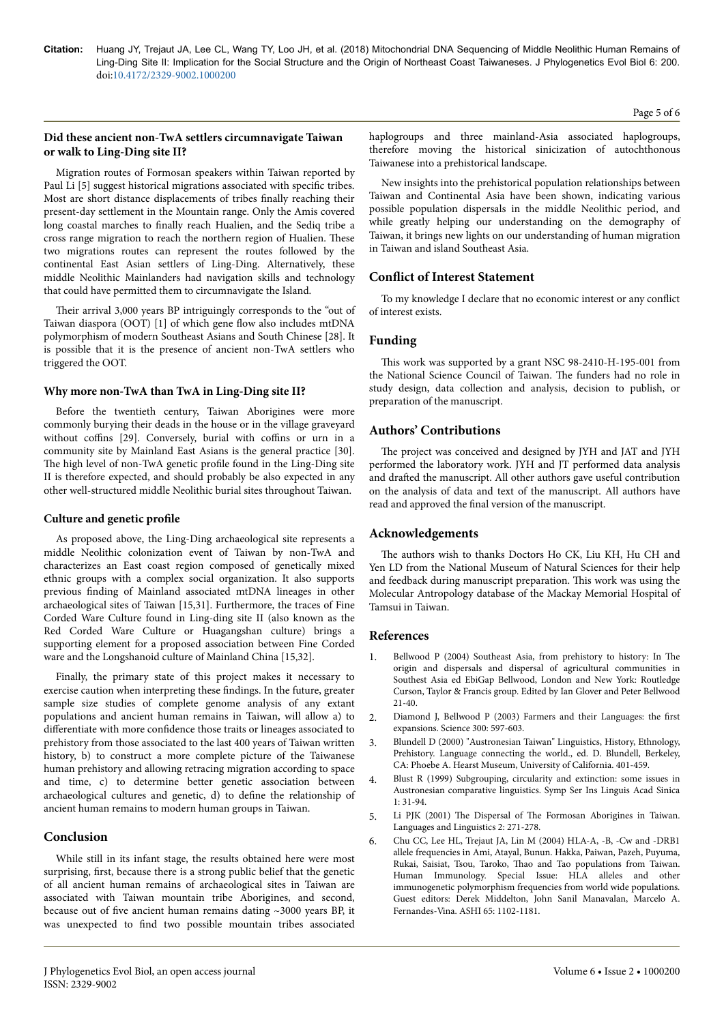## **Did these ancient non-TwA settlers circumnavigate Taiwan or walk to Ling-Ding site II?**

Migration routes of Formosan speakers within Taiwan reported by Paul Li [5] suggest historical migrations associated with specific tribes. Most are short distance displacements of tribes finally reaching their present-day settlement in the Mountain range. Only the Amis covered long coastal marches to finally reach Hualien, and the Sediq tribe a cross range migration to reach the northern region of Hualien. Нese two migrations routes can represent the routes followed by the continental East Asian settlers of Ling-Ding. Alternatively, these middle Neolithic Mainlanders had navigation skills and technology that could have permitted them to circumnavigate the Island.

Their arrival 3,000 years BP intriguingly corresponds to the "out of Taiwan diaspora (OOT) [1] of which gene flow also includes mtDNA polymorphism of modern Southeast Asians and South Chinese [28]. It is possible that it is the presence of ancient non-TwA settlers who triggered the OOT.

## **Why more non-TwA than TwA in Ling-Ding site II?**

Before the twentieth century, Taiwan Aborigines were more commonly burying their deads in the house or in the village graveyard without coffins [29]. Conversely, burial with coffins or urn in a community site by Mainland East Asians is the general practice [30]. The high level of non-TwA genetic profile found in the Ling-Ding site II is therefore expected, and should probably be also expected in any other well-structured middle Neolithic burial sites throughout Taiwan.

## **Culture and genetic profile**

As proposed above, the Ling-Ding archaeological site represents a middle Neolithic colonization event of Taiwan by non-TwA and characterizes an East coast region composed of genetically mixed ethnic groups with a complex social organization. It also supports previous finding of Mainland associated mtDNA lineages in other archaeological sites of Taiwan [15,31]. Furthermore, the traces of Fine Corded Ware Culture found in Ling-ding site II (also known as the Red Corded Ware Culture or Huagangshan culture) brings a supporting element for a proposed association between Fine Corded ware and the Longshanoid culture of Mainland China [15,32].

Finally, the primary state of this project makes it necessary to exercise caution when interpreting these findings. In the future, greater sample size studies of complete genome analysis of any extant populations and ancient human remains in Taiwan, will allow a) to differentiate with more confidence those traits or lineages associated to prehistory from those associated to the last 400 years of Taiwan written history, b) to construct a more complete picture of the Taiwanese human prehistory and allowing retracing migration according to space and time, c) to determine better genetic association between archaeological cultures and genetic, d) to define the relationship of ancient human remains to modern human groups in Taiwan.

## **Conclusion**

While still in its infant stage, the results obtained here were most surprising, first, because there is a strong public belief that the genetic of all ancient human remains of archaeological sites in Taiwan are associated with Taiwan mountain tribe Aborigines, and second, because out of five ancient human remains dating ~3000 years BP, it was unexpected to find two possible mountain tribes associated haplogroups and three mainland-Asia associated haplogroups, therefore moving the historical sinicization of autochthonous Taiwanese into a prehistorical landscape.

New insights into the prehistorical population relationships between Taiwan and Continental Asia have been shown, indicating various possible population dispersals in the middle Neolithic period, and while greatly helping our understanding on the demography of Taiwan, it brings new lights on our understanding of human migration in Taiwan and island Southeast Asia.

## **Conflict of Interest Statement**

To my knowledge I declare that no economic interest or any conflict of interest exists.

## **Funding**

This work was supported by a grant NSC 98-2410-H-195-001 from the National Science Council of Taiwan. Нe funders had no role in study design, data collection and analysis, decision to publish, or preparation of the manuscript.

## **Authors' Contributions**

The project was conceived and designed by JYH and JAT and JYH performed the laboratory work. JYH and JT performed data analysis and drafted the manuscript. All other authors gave useful contribution on the analysis of data and text of the manuscript. All authors have read and approved the final version of the manuscript.

## **Acknowledgements**

The authors wish to thanks Doctors Ho CK, Liu KH, Hu CH and Yen LD from the National Museum of Natural Sciences for their help and feedback during manuscript preparation. This work was using the Molecular Antropology database of the Mackay Memorial Hospital of Tamsui in Taiwan.

## **References**

- 1. Bellwood P (2004) Southeast Asia, from prehistory to history: In Нe origin and dispersals and dispersal of agricultural communities in Southest Asia ed EbiGap Bellwood, London and New York: Routledge Curson, Taylor & Francis group. Edited by Ian Glover and Peter Bellwood 21-40.
- 2. Diamond J, Bellwood P (2003) Farmers and their Languages: the first expansions. Science 300: 597-603.
- 3. Blundell D (2000) "Austronesian Taiwan" Linguistics, History, Ethnology, Prehistory. Language connecting the world., ed. D. Blundell, Berkeley, CA: Phoebe A. Hearst Museum, University of California. 401-459.
- 4. Blust R (1999) Subgrouping, circularity and extinction: some issues in Austronesian comparative linguistics. Symp Ser Ins Linguis Acad Sinica 1: 31-94.
- 5. Li PJK (2001) Нe Dispersal of Нe Formosan Aborigines in Taiwan. Languages and Linguistics 2: 271-278.
- 6. Chu CC, Lee HL, Trejaut JA, Lin M (2004) HLA-A, -B, -Cw and -DRB1 allele frequencies in Ami, Atayal, Bunun. Hakka, Paiwan, Pazeh, Puyuma, Rukai, Saisiat, Tsou, Taroko, Нao and Tao populations from Taiwan. Human Immunology. Special Issue: HLA alleles and other immunogenetic polymorphism frequencies from world wide populations. Guest editors: Derek Middelton, John Sanil Manavalan, Marcelo A. Fernandes-Vina. ASHI 65: 1102-1181.